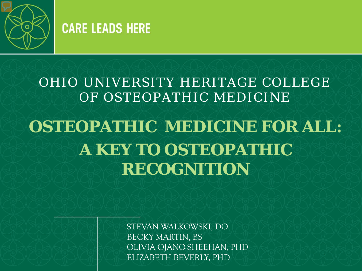

#### **CARE LEADS HERE**

#### OHIO UNIVERSITY HERITAGE COLLEGE OF OSTEOPATHIC MEDICINE **OSTEOPATHIC MEDICINE FOR ALL: A KEY TO OSTEOPATHIC RECOGNITION**

STEVAN WALKOWSKI, DO BECKY MARTIN, BS OLIVIA OJANO-SHEEHAN, PHD ELIZABETH BEVERLY, PHD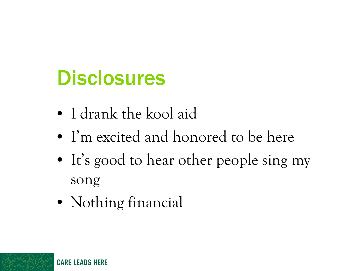### **Disclosures**

- I drank the kool aid
- I'm excited and honored to be here
- It's good to hear other people sing my song
- Nothing financial

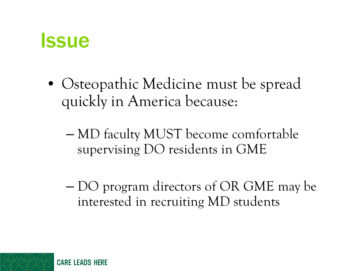#### **Issue**

- Osteopathic Medicine must be spread quickly in America because:
	- MD faculty MUST become comfortable supervising DO residents in GME
	- DO program directors of OR GME may be interested in recruiting MD students

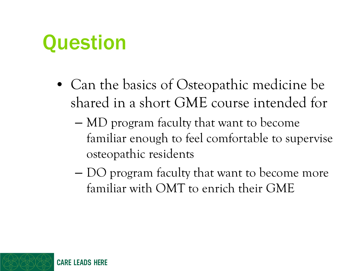### **Question**

- Can the basics of Osteopathic medicine be shared in a short GME course intended for
	- MD program faculty that want to become familiar enough to feel comfortable to supervise osteopathic residents
	- DO program faculty that want to become more familiar with OMT to enrich their GME

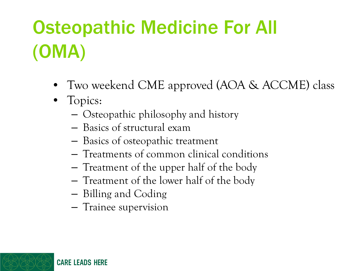# Osteopathic Medicine For All (OMA)

- Two weekend CME approved (AOA & ACCME) class
- Topics:
	- Osteopathic philosophy and history
	- Basics of structural exam
	- Basics of osteopathic treatment
	- Treatments of common clinical conditions
	- Treatment of the upper half of the body
	- Treatment of the lower half of the body
	- Billing and Coding
	- Trainee supervision

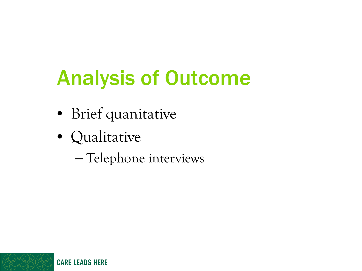# Analysis of Outcome

- Brief quanitative
- Qualitative
	- Telephone interviews

**CARE LEADS HERE**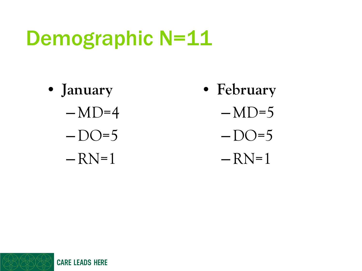## Demographic N=11

• **January**  $-MD=4$  $-DO=5$  $-RN=1$ 

- **February**
	- $-MD=5$
	- $-DO=5$
	- $-RN=1$

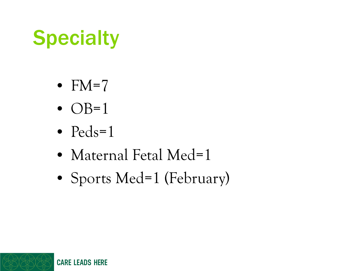# **Specialty**

- $FM=7$
- $\bullet$  OB=1
- $Peds=1$
- Maternal Fetal Med=1
- Sports Med=1 (February)

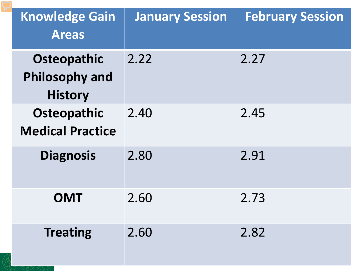| <b>Knowledge Gain</b><br><b>Areas</b>                         | <b>January Session</b> | <b>February Session</b> |
|---------------------------------------------------------------|------------------------|-------------------------|
| <b>Osteopathic</b><br><b>Philosophy and</b><br><b>History</b> | 2.22                   | 2.27                    |
| <b>Osteopathic</b><br><b>Medical Practice</b>                 | 2.40                   | 2.45                    |
| <b>Diagnosis</b>                                              | 2.80                   | 2.91                    |
| <b>OMT</b>                                                    | 2.60                   | 2.73                    |
| <b>Treating</b>                                               | 2.60                   | 2.82                    |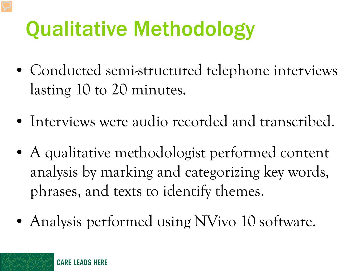# Qualitative Methodology

- Conducted semi-structured telephone interviews lasting 10 to 20 minutes.
- Interviews were audio recorded and transcribed.
- A qualitative methodologist performed content analysis by marking and categorizing key words, phrases, and texts to identify themes.
- Analysis performed using NVivo 10 software.

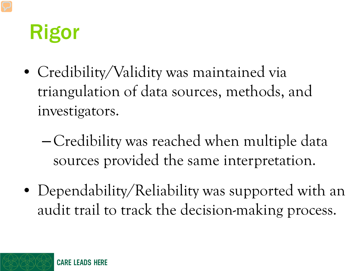## Rigor

- Credibility/Validity was maintained via triangulation of data sources, methods, and investigators.
	- Credibility was reached when multiple data sources provided the same interpretation.
- Dependability/Reliability was supported with an audit trail to track the decision-making process.

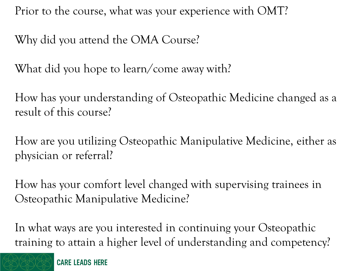Prior to the course, what was your experience with OMT?

Why did you attend the OMA Course?

What did you hope to learn/come away with?

How has your understanding of Osteopathic Medicine changed as a result of this course?

How are you utilizing Osteopathic Manipulative Medicine, either as physician or referral?

How has your comfort level changed with supervising trainees in Osteopathic Manipulative Medicine?

In what ways are you interested in continuing your Osteopathic training to attain a higher level of understanding and competency?



**CARE LEADS HERE**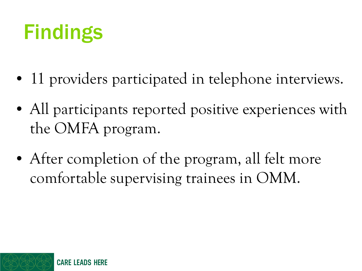# Findings

- 11 providers participated in telephone interviews.
- All participants reported positive experiences with the OMFA program.
- After completion of the program, all felt more comfortable supervising trainees in OMM.

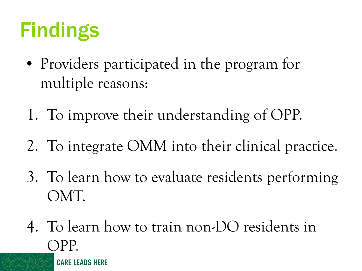# Findings

- Providers participated in the program for multiple reasons:
- 1. To improve their understanding of OPP.
- 2. To integrate OMM into their clinical practice.
- 3. To learn how to evaluate residents performing OMT.
- 4. To learn how to train non-DO residents in OPP.**CARE LEADS HERE**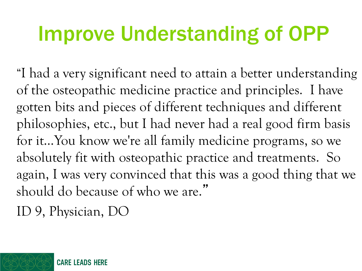## Improve Understanding of OPP

"I had a very significant need to attain a better understanding of the osteopathic medicine practice and principles. I have gotten bits and pieces of different techniques and different philosophies, etc., but I had never had a real good firm basis for it…You know we're all family medicine programs, so we absolutely fit with osteopathic practice and treatments. So again, I was very convinced that this was a good thing that we should do because of who we are."

ID 9, Physician, DO

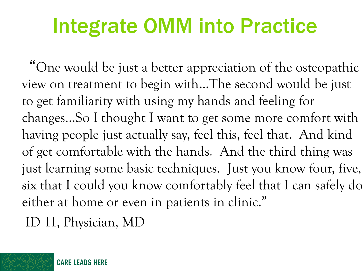## Integrate OMM into Practice

"One would be just a better appreciation of the osteopathic view on treatment to begin with…The second would be just to get familiarity with using my hands and feeling for changes…So I thought I want to get some more comfort with having people just actually say, feel this, feel that. And kind of get comfortable with the hands. And the third thing was just learning some basic techniques. Just you know four, five, six that I could you know comfortably feel that I can safely do either at home or even in patients in clinic."

ID 11, Physician, MD

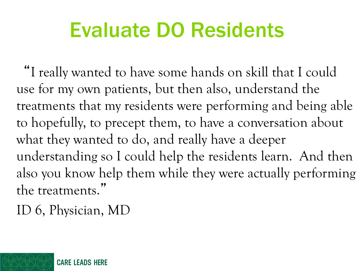### Evaluate DO Residents

"I really wanted to have some hands on skill that I could use for my own patients, but then also, understand the treatments that my residents were performing and being able to hopefully, to precept them, to have a conversation about what they wanted to do, and really have a deeper understanding so I could help the residents learn. And then also you know help them while they were actually performing the treatments."

ID 6, Physician, MD

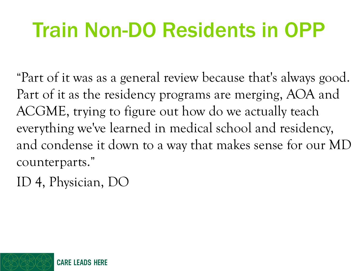# Train Non-DO Residents in OPP

"Part of it was as a general review because that's always good. Part of it as the residency programs are merging, AOA and ACGME, trying to figure out how do we actually teach everything we've learned in medical school and residency, and condense it down to a way that makes sense for our MD counterparts."

ID 4, Physician, DO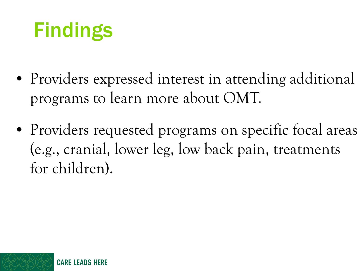# Findings

- Providers expressed interest in attending additional programs to learn more about OMT.
- Providers requested programs on specific focal areas (e.g., cranial, lower leg, low back pain, treatments for children).

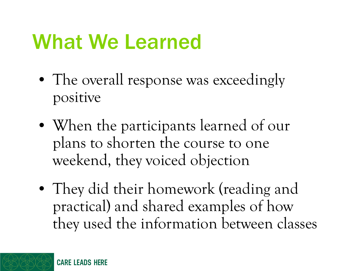## What We Learned

- The overall response was exceedingly positive
- When the participants learned of our plans to shorten the course to one weekend, they voiced objection
- They did their homework (reading and practical) and shared examples of how they used the information between classes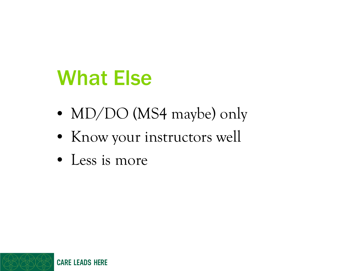### What Else

- MD/DO (MS4 maybe) only
- Know your instructors well
- Less is more

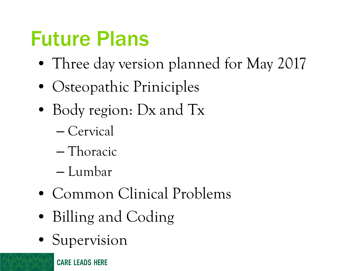## Future Plans

- Three day version planned for May 2017
- Osteopathic Priniciples
- Body region: Dx and Tx
	- Cervical
	- Thoracic
	- Lumbar
- Common Clinical Problems
- Billing and Coding
- Supervision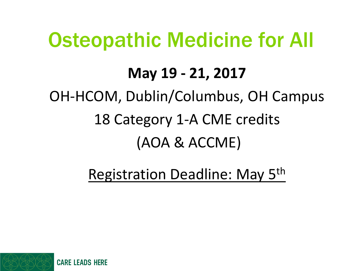### Osteopathic Medicine for All

#### **May 19 - 21, 2017**

#### OH-HCOM, Dublin/Columbus, OH Campus

#### 18 Category 1-A CME credits

#### (AOA & ACCME)

#### Registration Deadline: May 5th